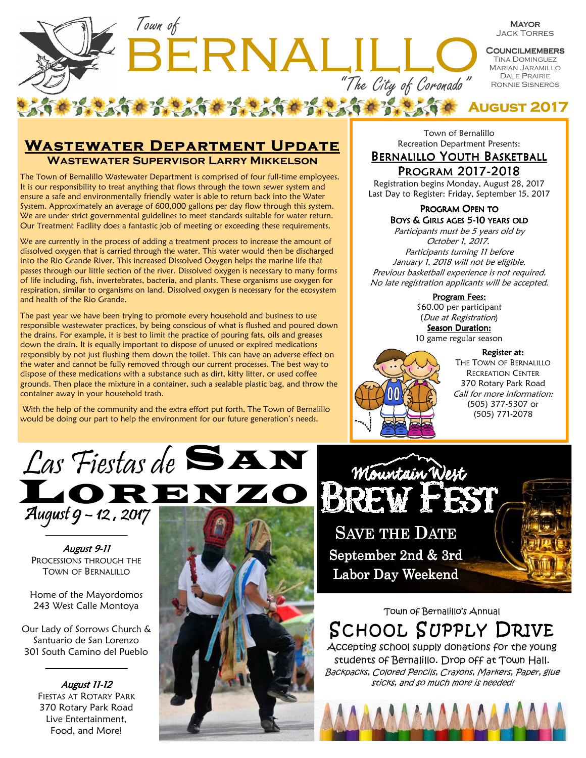

**August 2017** 

## **WASTEWATER DEPARTMENT UPDATE Wastewater Supervisor Larry Mikkelson**

The Town of Bernalillo Wastewater Department is comprised of four full-time employees. It is our responsibility to treat anything that flows through the town sewer system and ensure a safe and environmentally friendly water is able to return back into the Water System. Approximately an average of 600,000 gallons per day flow through this system. We are under strict governmental guidelines to meet standards suitable for water return. Our Treatment Facility does a fantastic job of meeting or exceeding these requirements.

We are currently in the process of adding a treatment process to increase the amount of dissolved oxygen that is carried through the water. This water would then be discharged into the Rio Grande River. This increased Dissolved Oxygen helps the marine life that passes through our little section of the river. Dissolved oxygen is necessary to many forms of life including, fish, invertebrates, bacteria, and plants. These organisms use oxygen for respiration, similar to organisms on land. Dissolved oxygen is necessary for the ecosystem and health of the Rio Grande.

The past year we have been trying to promote every household and business to use responsible wastewater practices, by being conscious of what is flushed and poured down the drains. For example, it is best to limit the practice of pouring fats, oils and greases down the drain. It is equally important to dispose of unused or expired medications responsibly by not just flushing them down the toilet. This can have an adverse effect on the water and cannot be fully removed through our current processes. The best way to dispose of these medications with a substance such as dirt, kitty litter, or used coffee grounds. Then place the mixture in a container, such a sealable plastic bag, and throw the container away in your household trash.

 With the help of the community and the extra effort put forth, The Town of Bernalillo would be doing our part to help the environment for our future generation's needs.

Town of Bernalillo Recreation Department Presents:

### BERNALILLO YOUTH BASKETBALL PROGRAM2017-2018

Registration begins Monday, August 28, 2017 Last Day to Register: Friday, September 15, 2017

#### PROGRAM OPEN TO BOYS & GIRLS AGES 5-10 YEARS OLD

Participants must be 5 years old by October 1, 2017. Participants turning 11 before January 1, 2018 will not be eligible. Previous basketball experience is not required. No late registration applicants will be accepted.

Program Fees:

\$60.00 per participant (Due at Registration) Season Duration: 10 game regular season

#### Register at:



Labor Day Weekend

THE TOWN OF BERNALILLO RECREATION CENTER 370 Rotary Park Road Call for more information: (505) 377-5307 or (505) 771-2078



August 9-11 PROCESSIONS THROUGH THE TOWN OF BERNALILLO

Home of the Mayordomos 243 West Calle Montoya

Our Lady of Sorrows Church & Santuario de San Lorenzo 301 South Camino del Pueblo

**August 11-12** 

FIESTAS AT ROTARY PARK 370 Rotary Park Road Live Entertainment, Food, and More!





Town of Bernalillo's Annual

SCHOOL SUPPLY DRIVE Accepting school supply donations for the young

students of Bernalillo. Drop off at Town Hall. Backpacks, Colored Pencils, Crayons, Markers, Paper, glue sticks, and so much more is needed!